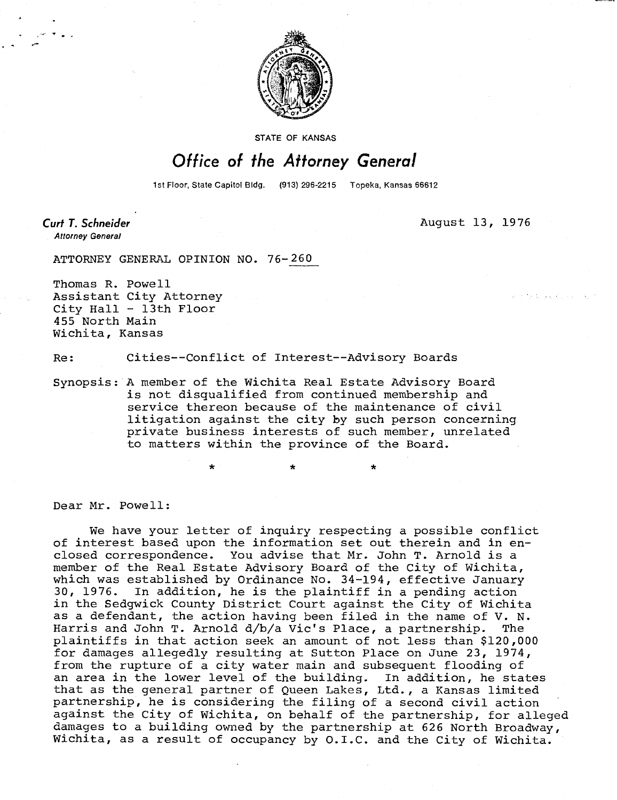

STATE OF KANSAS

## Office of the Attorney General

1st Floor, State Capitol Bldg. (913) 296-2215 Topeka, Kansas 66612

Curt T. Schneider **Attorney General** 

August 13, 1976

そち むしょうどうしゃ 人

ATTORNEY GENERAL OPINION NO. 76-260

Thomas R. Powell Assistant City Attorney City Hall - 13th Floor 455 North Main Wichita, Kansas

Re: Cities--Conflict of Interest--Advisory Boards

Synopsis: A member of the Wichita Real Estate Advisory Board is not disqualified from continued membership and service thereon because of the maintenance of civil litigation against the city by such person concerning private business interests of such member, unrelated to matters within the province of the Board.

Dear Mr. Powell:

We have your letter of inquiry respecting a possible conflict of interest based upon the information set out therein and in enclosed correspondence. You advise that Mr. John T. Arnold is a member of the Real Estate Advisory Board of the City of Wichita, which was established by Ordinance No. 34-194, effective January<br>30, 1976. In addition, he is the plaintiff in a pending action In addition, he is the plaintiff in a pending action in the Sedgwick County District Court against the City of Wichita as a defendant, the action having been filed in the name of V. N. Harris and John T. Arnold d/b/a Vic's Place, a partnership. The plaintiffs in that action seek an amount of not less than \$120,000 for damages allegedly resulting at Sutton Place on June 23, 1974, from the rupture of a city water main and subsequent flooding of an area in the lower level of the building. In addition, he states that as the general partner of Queen Lakes, Ltd., a Kansas limited partnership, he is considering the filing of a second civil action against the City of Wichita, on behalf of the partnership, for alleged damages to a building owned by the partnership at 626 North Broadway, Wichita, as a result of occupancy by O.I.C. and the City of Wichita.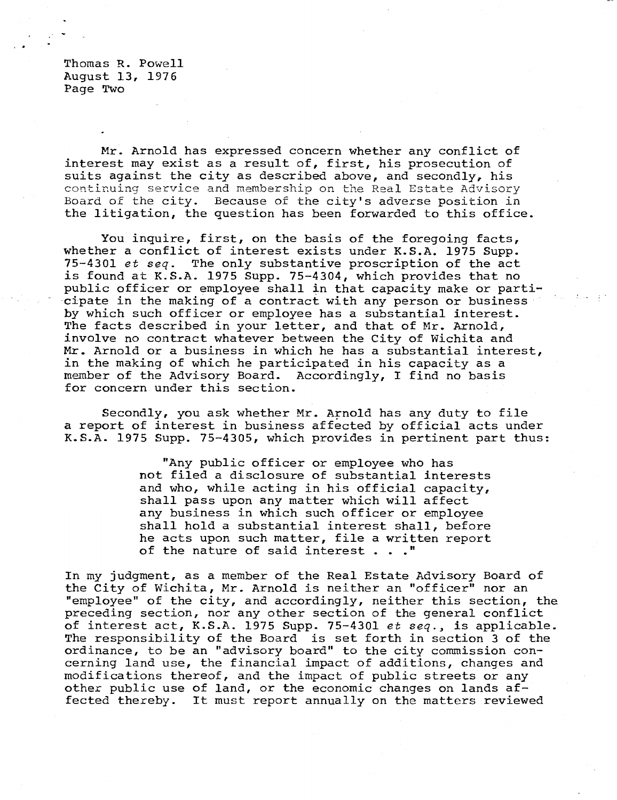Thomas R. Powell August 13, 1976 Page Two

Mr. Arnold has expressed concern whether any conflict of interest may exist as a result of, first, his prosecution of suits against the city as described above, and secondly, his continuing service and membership on the Real Estate Advisory Board of the city. Because of the city's adverse position in the litigation, the question has been forwarded to this office.

You inquire, first, on the basis of the foregoing facts, whether a conflict of interest exists under K.S.A. 1975 Supp. 75-4301 et seq. The only substantive proscription of the act is found at K.S.A. 1975 Supp. 75-4304, which provides that no public officer or employee shall in that capacity make or participate in the making of a contract with any person or business by which such officer or employee has a substantial interest. The facts described in your letter, and that of Mr. Arnold, involve no contract whatever between the City of Wichita and Mr. Arnold or a business in which he has a substantial interest, in the making of which he participated in his capacity as a member of the Advisory Board. Accordingly, I find no basis for concern under this section.

Secondly, you ask whether Mr. Arnold has any duty to file a report of interest in business affected by official acts under K.S.A. 1975 Supp. 75-4305, which provides in pertinent part thus:

> "Any public officer or employee who has not filed a disclosure of substantial interests and who, while acting in his official capacity, shall pass upon any matter which will affect any business in which such officer or employee shall hold a substantial interest shall, before he acts upon such matter, file a written report of the nature of said interest . . ."

In my judgment, as a member of the Real Estate Advisory Board of the City of Wichita, Mr. Arnold is neither an "officer" nor an "employee" of the city, and accordingly, neither this section, the preceding section, nor any other section of the general conflict of interest act, K.S.A. 1975 Supp. 75-4301 et seq., is applicable. The responsibility of the Board is set forth in section 3 of the ordinance, to be an "advisory board" to the city commission concerning land use, the financial impact of additions, changes and modifications thereof, and the impact of public streets or any other public use of land, or the economic changes on lands affected thereby. It must report annually on the matters reviewed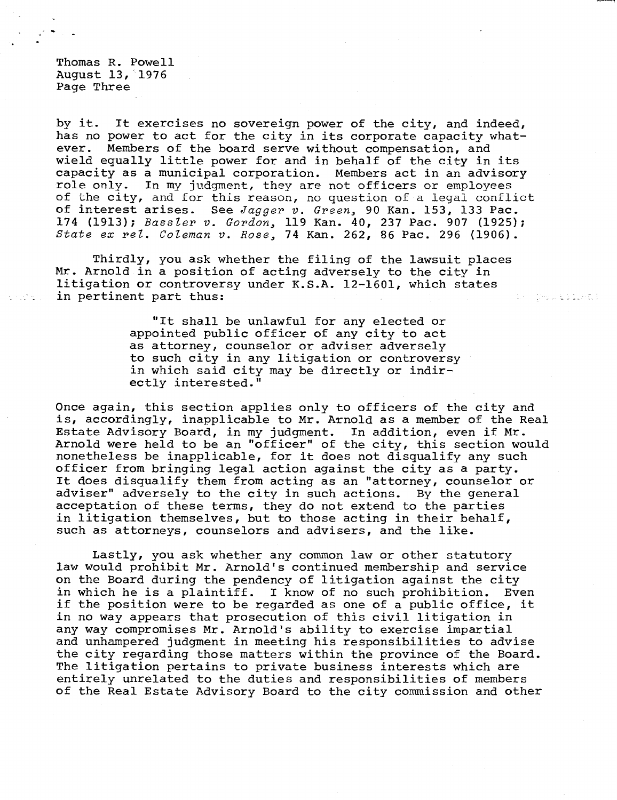Thomas R. Powell August 13, 1976 Page Three

by it. It exercises no sovereign power of the city, and indeed, has no power to act for the city in its corporate capacity whatever. Members of the board serve without compensation, and wield equally little power for and in behalf of the city in its capacity as a municipal corporation. Members act in an advisory role only. In my judgment, they are not officers or employees of the city, and for this reason, no question of a legal conflict of interest arises. See Jagger v. Green, 90 Kan. 153, 133 Pac. 174 (1913); Bassler v. Gordon, 119 Kan. 40, 237 Pac. 907 (1925); State ex rel. Coleman v. Rose, 74 Kan. 262, 86 Pac. 296 (1906).

Thirdly, you ask whether the filing of the lawsuit places Mr. Arnold in a position of acting adversely to the city in litigation or controversy under K.S.A. 12-1601, which states in pertinent part thus:

> "It shall be unlawful for any elected or appointed public officer of any city to act as attorney, counselor or adviser adversely to such city in any litigation or controversy in which said city may be directly or indirectly interested."

ES COMPLEMENT

Once again, this section applies only to officers of the city and is, accordingly, inapplicable to Mr. Arnold as a member of the Real Estate Advisory Board, in my judgment. In addition, even if Mr. Arnold were held to be an "officer" of the city, this section would nonetheless be inapplicable, for it does not disqualify any such officer from bringing legal action against the city as a party. It does disqualify them from acting as an "attorney, counselor or adviser" adversely to the city in such actions. By the general acceptation of these terms, they do not extend to the parties in litigation themselves, but to those acting in their behalf, such as attorneys, counselors and advisers, and the like.

Lastly, you ask whether any common law or other statutory law would prohibit Mr. Arnold's continued membership and service on the Board during the pendency of litigation against the city in which he is a plaintiff. I know of no such prohibition. Even if the position were to be regarded as one of a public office, it in no way appears that prosecution of this civil litigation in any way compromises Mr. Arnold's ability to exercise impartial and unhampered judgment in meeting his responsibilities to advise the city regarding those matters within the province of the Board. The litigation pertains to private business interests which are entirely unrelated to the duties and responsibilities of members of the Real Estate Advisory Board to the city commission and other